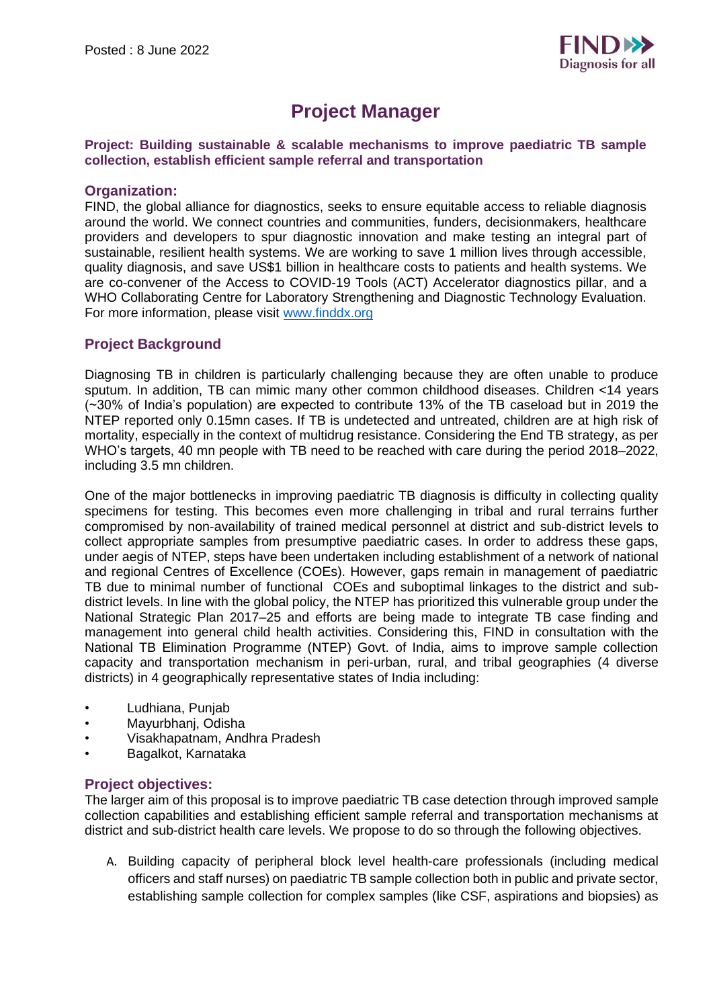

# **Project Manager**

#### **Project: Building sustainable & scalable mechanisms to improve paediatric TB sample collection, establish efficient sample referral and transportation**

## **Organization:**

FIND, the global alliance for diagnostics, seeks to ensure equitable access to reliable diagnosis around the world. We connect countries and communities, funders, decisionmakers, healthcare providers and developers to spur diagnostic innovation and make testing an integral part of sustainable, resilient health systems. We are working to save 1 million lives through accessible, quality diagnosis, and save US\$1 billion in healthcare costs to patients and health systems. We are co-convener of the Access to COVID-19 Tools (ACT) Accelerator diagnostics pillar, and a WHO Collaborating Centre for Laboratory Strengthening and Diagnostic Technology Evaluation. For more information, please visit [www.finddx.org](http://www.finddx.org/)

## **Project Background**

Diagnosing TB in children is particularly challenging because they are often unable to produce sputum. In addition, TB can mimic many other common childhood diseases. Children <14 years (~30% of India's population) are expected to contribute 13% of the TB caseload but in 2019 the NTEP reported only 0.15mn cases. If TB is undetected and untreated, children are at high risk of mortality, especially in the context of multidrug resistance. Considering the End TB strategy, as per WHO's targets, 40 mn people with TB need to be reached with care during the period 2018–2022, including 3.5 mn children.

One of the major bottlenecks in improving paediatric TB diagnosis is difficulty in collecting quality specimens for testing. This becomes even more challenging in tribal and rural terrains further compromised by non-availability of trained medical personnel at district and sub-district levels to collect appropriate samples from presumptive paediatric cases. In order to address these gaps, under aegis of NTEP, steps have been undertaken including establishment of a network of national and regional Centres of Excellence (COEs). However, gaps remain in management of paediatric TB due to minimal number of functional COEs and suboptimal linkages to the district and subdistrict levels. In line with the global policy, the NTEP has prioritized this vulnerable group under the National Strategic Plan 2017–25 and efforts are being made to integrate TB case finding and management into general child health activities. Considering this, FIND in consultation with the National TB Elimination Programme (NTEP) Govt. of India, aims to improve sample collection capacity and transportation mechanism in peri-urban, rural, and tribal geographies (4 diverse districts) in 4 geographically representative states of India including:

- Ludhiana, Punjab
- Mayurbhanj, Odisha
- Visakhapatnam, Andhra Pradesh
- Bagalkot, Karnataka

## **Project objectives:**

The larger aim of this proposal is to improve paediatric TB case detection through improved sample collection capabilities and establishing efficient sample referral and transportation mechanisms at district and sub-district health care levels. We propose to do so through the following objectives.

A. Building capacity of peripheral block level health-care professionals (including medical officers and staff nurses) on paediatric TB sample collection both in public and private sector, establishing sample collection for complex samples (like CSF, aspirations and biopsies) as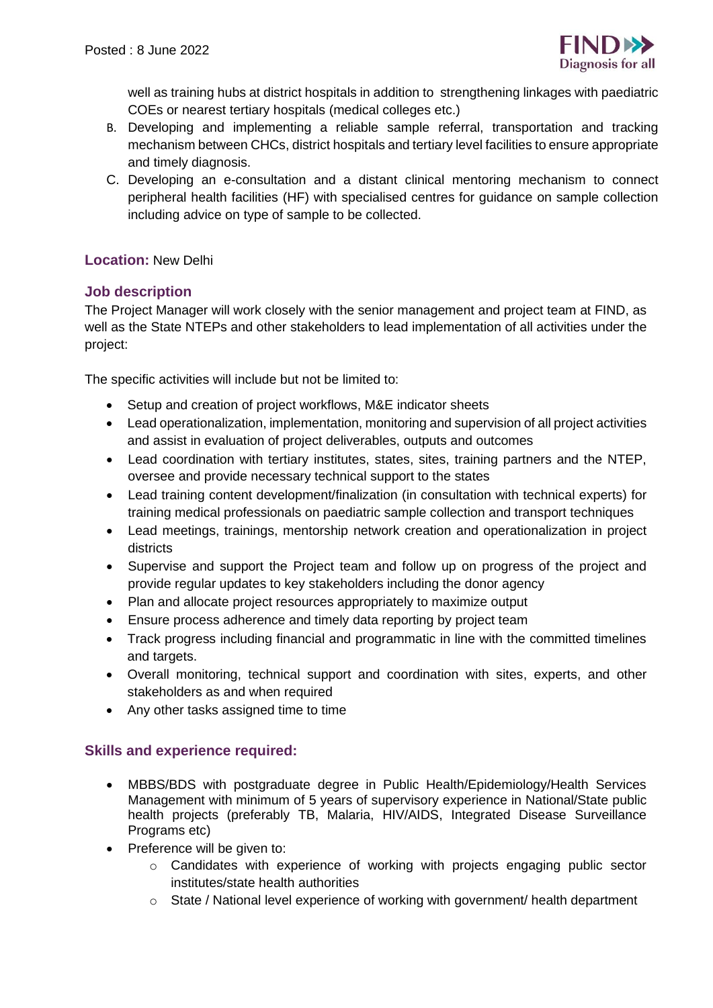

well as training hubs at district hospitals in addition to strengthening linkages with paediatric COEs or nearest tertiary hospitals (medical colleges etc.)

- B. Developing and implementing a reliable sample referral, transportation and tracking mechanism between CHCs, district hospitals and tertiary level facilities to ensure appropriate and timely diagnosis.
- C. Developing an e-consultation and a distant clinical mentoring mechanism to connect peripheral health facilities (HF) with specialised centres for guidance on sample collection including advice on type of sample to be collected.

## **Location:** New Delhi

## **Job description**

The Project Manager will work closely with the senior management and project team at FIND, as well as the State NTEPs and other stakeholders to lead implementation of all activities under the project:

The specific activities will include but not be limited to:

- Setup and creation of project workflows, M&E indicator sheets
- Lead operationalization, implementation, monitoring and supervision of all project activities and assist in evaluation of project deliverables, outputs and outcomes
- Lead coordination with tertiary institutes, states, sites, training partners and the NTEP, oversee and provide necessary technical support to the states
- Lead training content development/finalization (in consultation with technical experts) for training medical professionals on paediatric sample collection and transport techniques
- Lead meetings, trainings, mentorship network creation and operationalization in project districts
- Supervise and support the Project team and follow up on progress of the project and provide regular updates to key stakeholders including the donor agency
- Plan and allocate project resources appropriately to maximize output
- Ensure process adherence and timely data reporting by project team
- Track progress including financial and programmatic in line with the committed timelines and targets.
- Overall monitoring, technical support and coordination with sites, experts, and other stakeholders as and when required
- Any other tasks assigned time to time

## **Skills and experience required:**

- MBBS/BDS with postgraduate degree in Public Health/Epidemiology/Health Services Management with minimum of 5 years of supervisory experience in National/State public health projects (preferably TB, Malaria, HIV/AIDS, Integrated Disease Surveillance Programs etc)
- Preference will be given to:
	- o Candidates with experience of working with projects engaging public sector institutes/state health authorities
	- $\circ$  State / National level experience of working with government/ health department